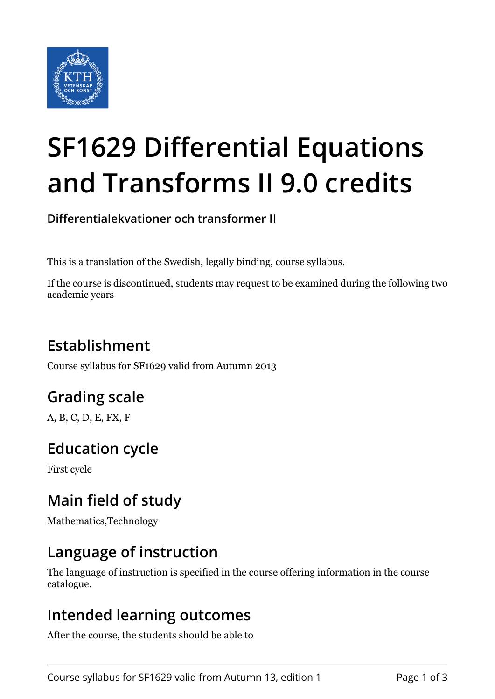

# **SF1629 Differential Equations and Transforms II 9.0 credits**

**Differentialekvationer och transformer II**

This is a translation of the Swedish, legally binding, course syllabus.

If the course is discontinued, students may request to be examined during the following two academic years

# **Establishment**

Course syllabus for SF1629 valid from Autumn 2013

## **Grading scale**

A, B, C, D, E, FX, F

## **Education cycle**

First cycle

## **Main field of study**

Mathematics,Technology

## **Language of instruction**

The language of instruction is specified in the course offering information in the course catalogue.

### **Intended learning outcomes**

After the course, the students should be able to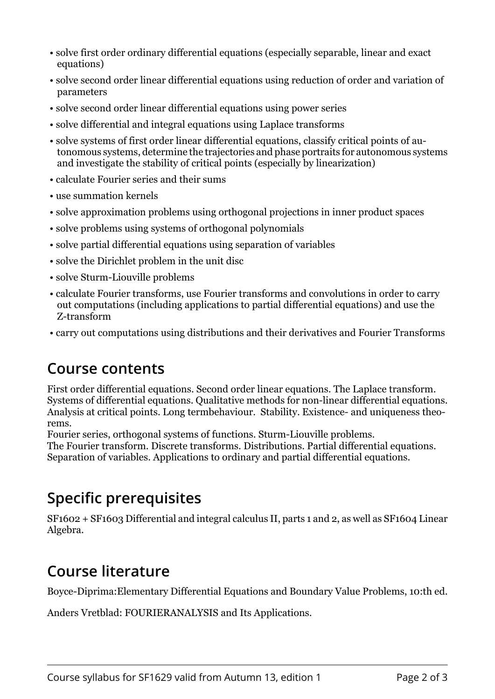- solve first order ordinary differential equations (especially separable, linear and exact equations)
- solve second order linear differential equations using reduction of order and variation of parameters
- solve second order linear differential equations using power series
- solve differential and integral equations using Laplace transforms
- solve systems of first order linear differential equations, classify critical points of autonomous systems, determine the trajectories and phase portraits for autonomous systems and investigate the stability of critical points (especially by linearization)
- calculate Fourier series and their sums
- use summation kernels
- solve approximation problems using orthogonal projections in inner product spaces
- solve problems using systems of orthogonal polynomials
- solve partial differential equations using separation of variables
- solve the Dirichlet problem in the unit disc
- solve Sturm-Liouville problems
- calculate Fourier transforms, use Fourier transforms and convolutions in order to carry out computations (including applications to partial differential equations) and use the Z-transform
- carry out computations using distributions and their derivatives and Fourier Transforms

#### **Course contents**

First order differential equations. Second order linear equations. The Laplace transform. Systems of differential equations. Qualitative methods for non-linear differential equations. Analysis at critical points. Long termbehaviour. Stability. Existence- and uniqueness theorems.

Fourier series, orthogonal systems of functions. Sturm-Liouville problems.

The Fourier transform. Discrete transforms. Distributions. Partial differential equations. Separation of variables. Applications to ordinary and partial differential equations.

## **Specific prerequisites**

SF1602 + SF1603 Differential and integral calculus II, parts 1 and 2, as well as SF1604 Linear Algebra.

## **Course literature**

Boyce-Diprima:Elementary Differential Equations and Boundary Value Problems, 10:th ed.

Anders Vretblad: FOURIERANALYSIS and Its Applications.